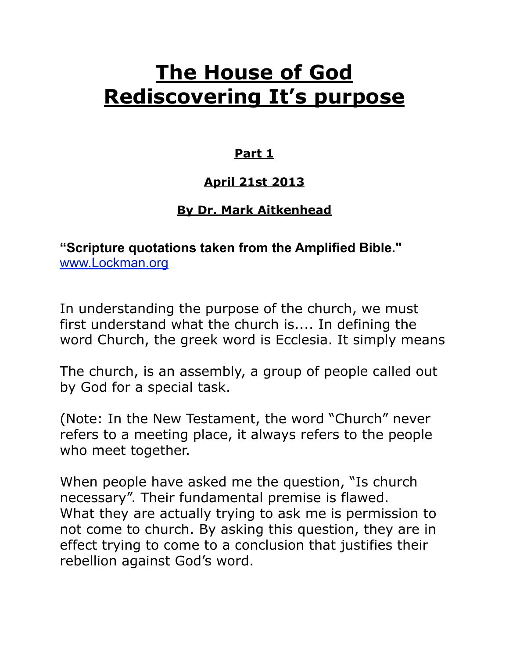# **The House of God Rediscovering It's purpose**

#### **Part 1**

## **April 21st 2013**

## **By Dr. Mark Aitkenhead**

**"Scripture quotations taken from the Amplified Bible."**  [www.Lockman.org](http://www.lockman.org/tlf/pqform.php) 

In understanding the purpose of the church, we must first understand what the church is.... In defining the word Church, the greek word is Ecclesia. It simply means

The church, is an assembly, a group of people called out by God for a special task.

(Note: In the New Testament, the word "Church" never refers to a meeting place, it always refers to the people who meet together.

When people have asked me the question, "Is church necessary". Their fundamental premise is flawed. What they are actually trying to ask me is permission to not come to church. By asking this question, they are in effect trying to come to a conclusion that justifies their rebellion against God's word.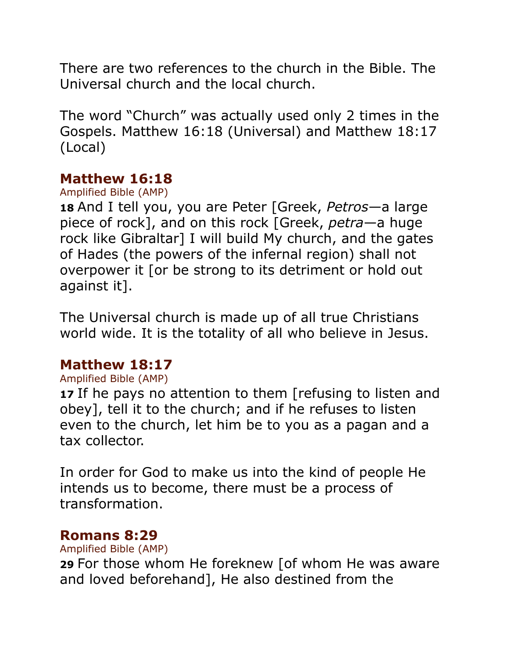There are two references to the church in the Bible. The Universal church and the local church.

The word "Church" was actually used only 2 times in the Gospels. Matthew 16:18 (Universal) and Matthew 18:17 (Local)

#### **Matthew 16:18**

Amplified Bible (AMP)

**18** And I tell you, you are Peter [Greek, *Petros*—a large piece of rock], and on this rock [Greek, *petra*—a huge rock like Gibraltar] I will build My church, and the gates of Hades (the powers of the infernal region) shall not overpower it [or be strong to its detriment or hold out against it].

The Universal church is made up of all true Christians world wide. It is the totality of all who believe in Jesus.

## **Matthew 18:17**

#### Amplified Bible (AMP)

**17** If he pays no attention to them [refusing to listen and obey], tell it to the church; and if he refuses to listen even to the church, let him be to you as a pagan and a tax collector.

In order for God to make us into the kind of people He intends us to become, there must be a process of transformation.

#### **Romans 8:29**

Amplified Bible (AMP)

**29** For those whom He foreknew [of whom He was aware and loved beforehand], He also destined from the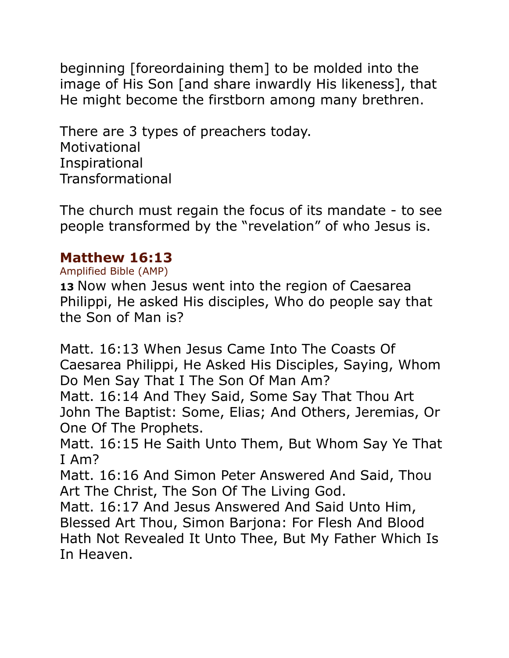beginning [foreordaining them] to be molded into the image of His Son [and share inwardly His likeness], that He might become the firstborn among many brethren.

There are 3 types of preachers today. Motivational Inspirational Transformational

The church must regain the focus of its mandate - to see people transformed by the "revelation" of who Jesus is.

#### **Matthew 16:13**

Amplified Bible (AMP)

**13** Now when Jesus went into the region of Caesarea Philippi, He asked His disciples, Who do people say that the Son of Man is?

Matt. 16:13 When Jesus Came Into The Coasts Of Caesarea Philippi, He Asked His Disciples, Saying, Whom Do Men Say That I The Son Of Man Am?

Matt. 16:14 And They Said, Some Say That Thou Art John The Baptist: Some, Elias; And Others, Jeremias, Or One Of The Prophets.

Matt. 16:15 He Saith Unto Them, But Whom Say Ye That I Am?

Matt. 16:16 And Simon Peter Answered And Said, Thou Art The Christ, The Son Of The Living God.

Matt. 16:17 And Jesus Answered And Said Unto Him, Blessed Art Thou, Simon Barjona: For Flesh And Blood Hath Not Revealed It Unto Thee, But My Father Which Is In Heaven.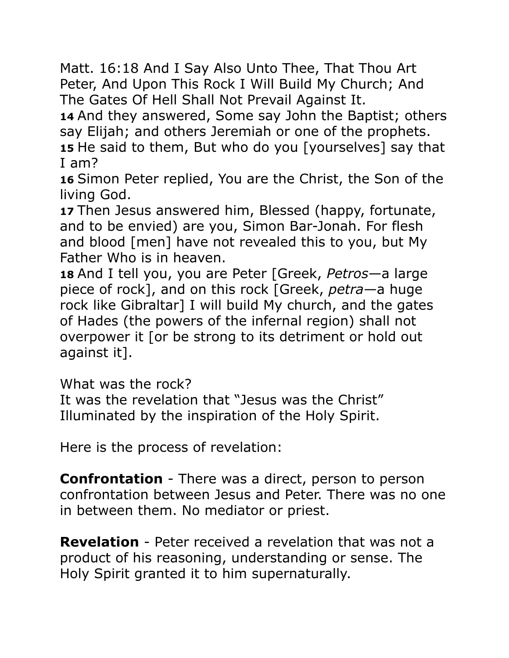Matt. 16:18 And I Say Also Unto Thee, That Thou Art Peter, And Upon This Rock I Will Build My Church; And The Gates Of Hell Shall Not Prevail Against It.

**14** And they answered, Some say John the Baptist; others say Elijah; and others Jeremiah or one of the prophets. **15** He said to them, But who do you [yourselves] say that I am?

**16** Simon Peter replied, You are the Christ, the Son of the living God.

**17** Then Jesus answered him, Blessed (happy, fortunate, and to be envied) are you, Simon Bar-Jonah. For flesh and blood [men] have not revealed this to you, but My Father Who is in heaven.

**18** And I tell you, you are Peter [Greek, *Petros*—a large piece of rock], and on this rock [Greek, *petra*—a huge rock like Gibraltar] I will build My church, and the gates of Hades (the powers of the infernal region) shall not overpower it [or be strong to its detriment or hold out against it].

What was the rock?

It was the revelation that "Jesus was the Christ" Illuminated by the inspiration of the Holy Spirit.

Here is the process of revelation:

**Confrontation** - There was a direct, person to person confrontation between Jesus and Peter. There was no one in between them. No mediator or priest.

**Revelation** - Peter received a revelation that was not a product of his reasoning, understanding or sense. The Holy Spirit granted it to him supernaturally.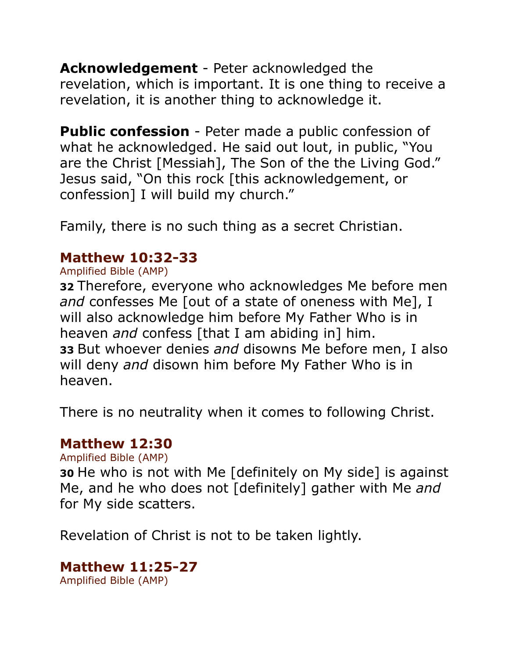**Acknowledgement** - Peter acknowledged the revelation, which is important. It is one thing to receive a revelation, it is another thing to acknowledge it.

**Public confession** - Peter made a public confession of what he acknowledged. He said out lout, in public, "You are the Christ [Messiah], The Son of the the Living God." Jesus said, "On this rock [this acknowledgement, or confession] I will build my church."

Family, there is no such thing as a secret Christian.

## **Matthew 10:32-33**

Amplified Bible (AMP)

**32** Therefore, everyone who acknowledges Me before men *and* confesses Me [out of a state of oneness with Me], I will also acknowledge him before My Father Who is in heaven *and* confess [that I am abiding in] him. **33** But whoever denies *and* disowns Me before men, I also will deny *and* disown him before My Father Who is in heaven.

There is no neutrality when it comes to following Christ.

#### **Matthew 12:30**

Amplified Bible (AMP)

**30** He who is not with Me [definitely on My side] is against Me, and he who does not [definitely] gather with Me *and* for My side scatters.

Revelation of Christ is not to be taken lightly.

# **Matthew 11:25-27**

Amplified Bible (AMP)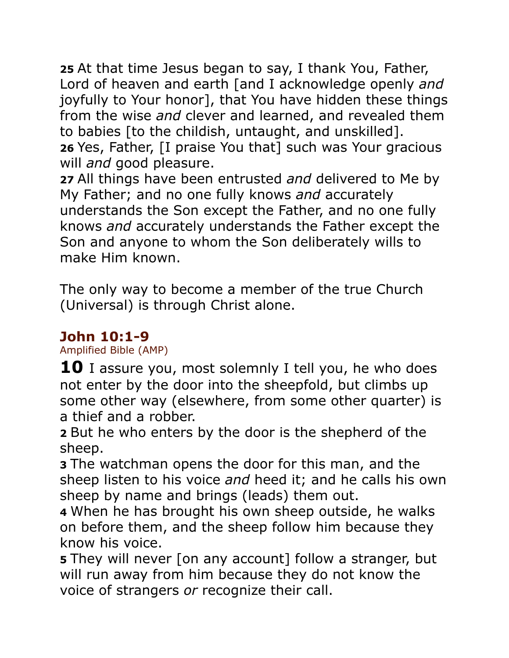**25** At that time Jesus began to say, I thank You, Father, Lord of heaven and earth [and I acknowledge openly *and* joyfully to Your honor], that You have hidden these things from the wise *and* clever and learned, and revealed them to babies [to the childish, untaught, and unskilled]. **26** Yes, Father, [I praise You that] such was Your gracious will *and* good pleasure.

**27** All things have been entrusted *and* delivered to Me by My Father; and no one fully knows *and* accurately understands the Son except the Father, and no one fully knows *and* accurately understands the Father except the Son and anyone to whom the Son deliberately wills to make Him known.

The only way to become a member of the true Church (Universal) is through Christ alone.

## **John 10:1-9**

Amplified Bible (AMP)

**10** I assure you, most solemnly I tell you, he who does not enter by the door into the sheepfold, but climbs up some other way (elsewhere, from some other quarter) is a thief and a robber.

**2** But he who enters by the door is the shepherd of the sheep.

**3** The watchman opens the door for this man, and the sheep listen to his voice *and* heed it; and he calls his own sheep by name and brings (leads) them out.

**4** When he has brought his own sheep outside, he walks on before them, and the sheep follow him because they know his voice.

**5** They will never [on any account] follow a stranger, but will run away from him because they do not know the voice of strangers *or* recognize their call.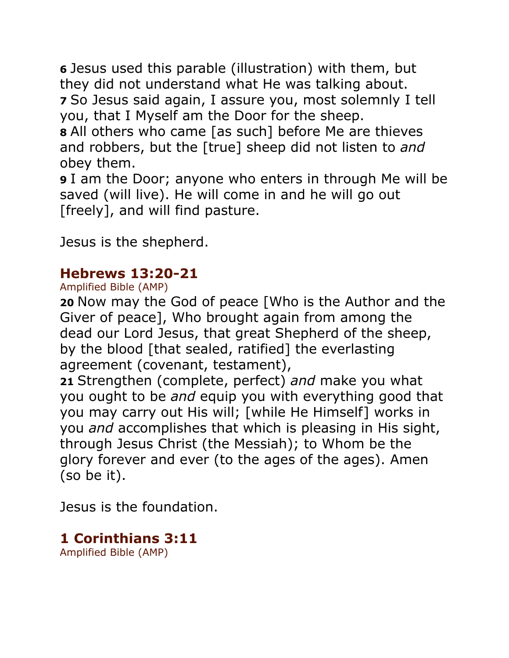**6** Jesus used this parable (illustration) with them, but they did not understand what He was talking about. **7** So Jesus said again, I assure you, most solemnly I tell you, that I Myself am the Door for the sheep.

**8** All others who came [as such] before Me are thieves and robbers, but the [true] sheep did not listen to *and* obey them.

**9** I am the Door; anyone who enters in through Me will be saved (will live). He will come in and he will go out [freely], and will find pasture.

Jesus is the shepherd.

## **Hebrews 13:20-21**

Amplified Bible (AMP)

**20** Now may the God of peace [Who is the Author and the Giver of peace], Who brought again from among the dead our Lord Jesus, that great Shepherd of the sheep, by the blood [that sealed, ratified] the everlasting agreement (covenant, testament),

**21** Strengthen (complete, perfect) *and* make you what you ought to be *and* equip you with everything good that you may carry out His will; [while He Himself] works in you *and* accomplishes that which is pleasing in His sight, through Jesus Christ (the Messiah); to Whom be the glory forever and ever (to the ages of the ages). Amen (so be it).

Jesus is the foundation.

# **1 Corinthians 3:11**

Amplified Bible (AMP)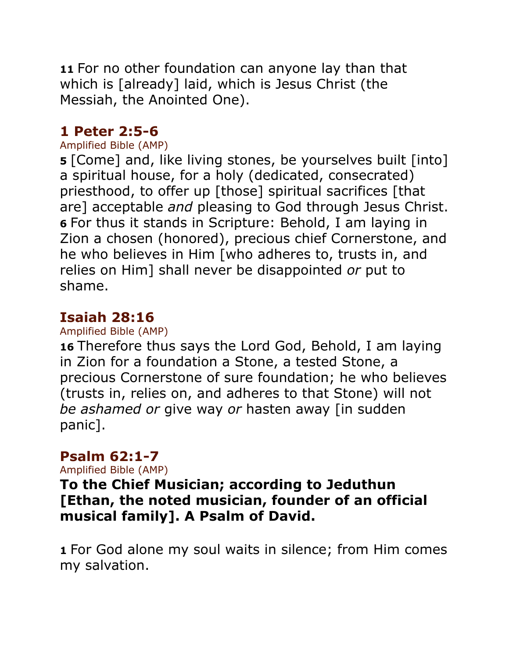**11** For no other foundation can anyone lay than that which is [already] laid, which is Jesus Christ (the Messiah, the Anointed One).

## **1 Peter 2:5-6**

#### Amplified Bible (AMP)

**5** [Come] and, like living stones, be yourselves built [into] a spiritual house, for a holy (dedicated, consecrated) priesthood, to offer up [those] spiritual sacrifices [that are] acceptable *and* pleasing to God through Jesus Christ. **6** For thus it stands in Scripture: Behold, I am laying in Zion a chosen (honored), precious chief Cornerstone, and he who believes in Him [who adheres to, trusts in, and relies on Him] shall never be disappointed *or* put to shame.

## **Isaiah 28:16**

#### Amplified Bible (AMP)

**16** Therefore thus says the Lord God, Behold, I am laying in Zion for a foundation a Stone, a tested Stone, a precious Cornerstone of sure foundation; he who believes (trusts in, relies on, and adheres to that Stone) will not *be ashamed or* give way *or* hasten away [in sudden panic].

#### **Psalm 62:1-7**

Amplified Bible (AMP)

**To the Chief Musician; according to Jeduthun [Ethan, the noted musician, founder of an official musical family]. A Psalm of David.**

**1** For God alone my soul waits in silence; from Him comes my salvation.